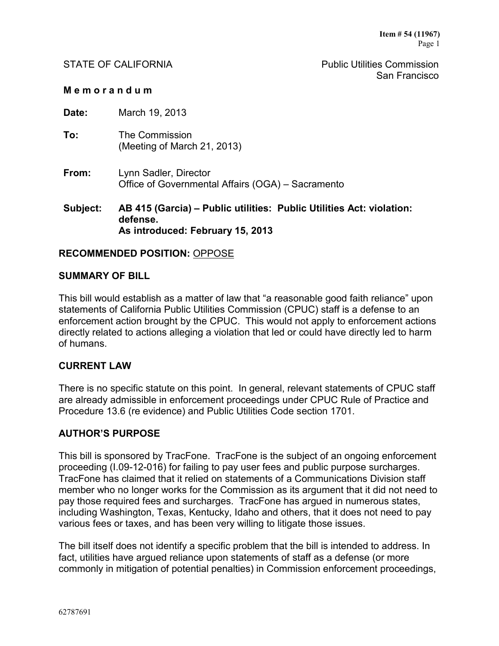STATE OF CALIFORNIA **Public Utilities Commission** San Francisco

#### **M e m o r a n d u m**

**Date:** March 19, 2013

- **To:** The Commission (Meeting of March 21, 2013)
- **From:** Lynn Sadler, Director Office of Governmental Affairs (OGA) – Sacramento

**Subject: AB 415 (Garcia) – Public utilities: Public Utilities Act: violation: defense. As introduced: February 15, 2013**

### **RECOMMENDED POSITION:** OPPOSE

### **SUMMARY OF BILL**

This bill would establish as a matter of law that "a reasonable good faith reliance" upon statements of California Public Utilities Commission (CPUC) staff is a defense to an enforcement action brought by the CPUC. This would not apply to enforcement actions directly related to actions alleging a violation that led or could have directly led to harm of humans.

### **CURRENT LAW**

There is no specific statute on this point. In general, relevant statements of CPUC staff are already admissible in enforcement proceedings under CPUC Rule of Practice and Procedure 13.6 (re evidence) and Public Utilities Code section 1701.

### **AUTHOR'S PURPOSE**

This bill is sponsored by TracFone. TracFone is the subject of an ongoing enforcement proceeding (I.09-12-016) for failing to pay user fees and public purpose surcharges. TracFone has claimed that it relied on statements of a Communications Division staff member who no longer works for the Commission as its argument that it did not need to pay those required fees and surcharges. TracFone has argued in numerous states, including Washington, Texas, Kentucky, Idaho and others, that it does not need to pay various fees or taxes, and has been very willing to litigate those issues.

The bill itself does not identify a specific problem that the bill is intended to address. In fact, utilities have argued reliance upon statements of staff as a defense (or more commonly in mitigation of potential penalties) in Commission enforcement proceedings,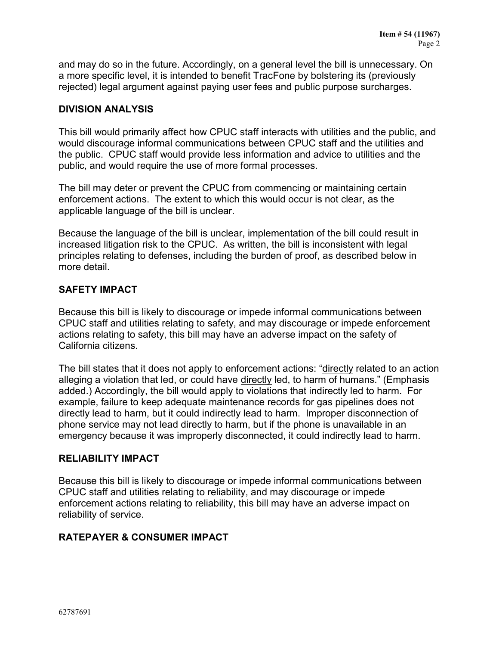and may do so in the future. Accordingly, on a general level the bill is unnecessary. On a more specific level, it is intended to benefit TracFone by bolstering its (previously rejected) legal argument against paying user fees and public purpose surcharges.

## **DIVISION ANALYSIS**

This bill would primarily affect how CPUC staff interacts with utilities and the public, and would discourage informal communications between CPUC staff and the utilities and the public. CPUC staff would provide less information and advice to utilities and the public, and would require the use of more formal processes.

The bill may deter or prevent the CPUC from commencing or maintaining certain enforcement actions. The extent to which this would occur is not clear, as the applicable language of the bill is unclear.

Because the language of the bill is unclear, implementation of the bill could result in increased litigation risk to the CPUC. As written, the bill is inconsistent with legal principles relating to defenses, including the burden of proof, as described below in more detail.

## **SAFETY IMPACT**

Because this bill is likely to discourage or impede informal communications between CPUC staff and utilities relating to safety, and may discourage or impede enforcement actions relating to safety, this bill may have an adverse impact on the safety of California citizens.

The bill states that it does not apply to enforcement actions: "directly related to an action alleging a violation that led, or could have directly led, to harm of humans." (Emphasis added.) Accordingly, the bill would apply to violations that indirectly led to harm. For example, failure to keep adequate maintenance records for gas pipelines does not directly lead to harm, but it could indirectly lead to harm. Improper disconnection of phone service may not lead directly to harm, but if the phone is unavailable in an emergency because it was improperly disconnected, it could indirectly lead to harm.

## **RELIABILITY IMPACT**

Because this bill is likely to discourage or impede informal communications between CPUC staff and utilities relating to reliability, and may discourage or impede enforcement actions relating to reliability, this bill may have an adverse impact on reliability of service.

## **RATEPAYER & CONSUMER IMPACT**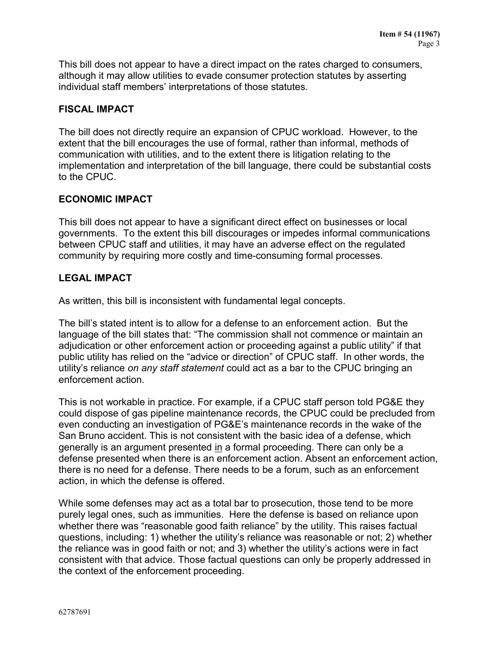This bill does not appear to have a direct impact on the rates charged to consumers, although it may allow utilities to evade consumer protection statutes by asserting individual staff members' interpretations of those statutes.

### **FISCAL IMPACT**

The bill does not directly require an expansion of CPUC workload. However, to the extent that the bill encourages the use of formal, rather than informal, methods of communication with utilities, and to the extent there is litigation relating to the implementation and interpretation of the bill language, there could be substantial costs to the CPUC.

### **ECONOMIC IMPACT**

This bill does not appear to have a significant direct effect on businesses or local governments. To the extent this bill discourages or impedes informal communications between CPUC staff and utilities, it may have an adverse effect on the regulated community by requiring more costly and time-consuming formal processes.

### **LEGAL IMPACT**

As written, this bill is inconsistent with fundamental legal concepts.

The bill's stated intent is to allow for a defense to an enforcement action. But the language of the bill states that: "The commission shall not commence or maintain an adjudication or other enforcement action or proceeding against a public utility" if that public utility has relied on the "advice or direction" of CPUC staff. In other words, the utility's reliance *on any staff statement* could act as a bar to the CPUC bringing an enforcement action.

This is not workable in practice. For example, if a CPUC staff person told PG&E they could dispose of gas pipeline maintenance records, the CPUC could be precluded from even conducting an investigation of PG&E's maintenance records in the wake of the San Bruno accident. This is not consistent with the basic idea of a defense, which generally is an argument presented in a formal proceeding. There can only be a defense presented when there is an enforcement action. Absent an enforcement action, there is no need for a defense. There needs to be a forum, such as an enforcement action, in which the defense is offered.

While some defenses may act as a total bar to prosecution, those tend to be more purely legal ones, such as immunities. Here the defense is based on reliance upon whether there was "reasonable good faith reliance" by the utility. This raises factual questions, including: 1) whether the utility's reliance was reasonable or not; 2) whether the reliance was in good faith or not; and 3) whether the utility's actions were in fact consistent with that advice. Those factual questions can only be properly addressed in the context of the enforcement proceeding.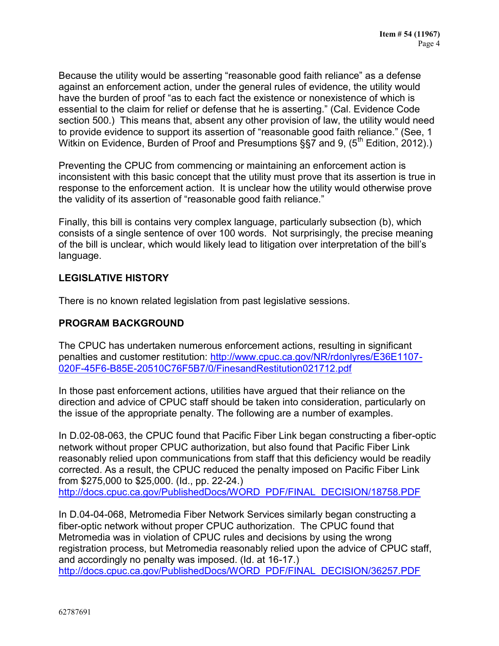Because the utility would be asserting "reasonable good faith reliance" as a defense against an enforcement action, under the general rules of evidence, the utility would have the burden of proof "as to each fact the existence or nonexistence of which is essential to the claim for relief or defense that he is asserting." (Cal. Evidence Code section 500.) This means that, absent any other provision of law, the utility would need to provide evidence to support its assertion of "reasonable good faith reliance." (See, 1 Witkin on Evidence, Burden of Proof and Presumptions §§7 and 9, (5<sup>th</sup> Edition, 2012).)

Preventing the CPUC from commencing or maintaining an enforcement action is inconsistent with this basic concept that the utility must prove that its assertion is true in response to the enforcement action. It is unclear how the utility would otherwise prove the validity of its assertion of "reasonable good faith reliance."

Finally, this bill is contains very complex language, particularly subsection (b), which consists of a single sentence of over 100 words. Not surprisingly, the precise meaning of the bill is unclear, which would likely lead to litigation over interpretation of the bill's language.

## **LEGISLATIVE HISTORY**

There is no known related legislation from past legislative sessions.

# **PROGRAM BACKGROUND**

The CPUC has undertaken numerous enforcement actions, resulting in significant penalties and customer restitution: [http://www.cpuc.ca.gov/NR/rdonlyres/E36E1107-](http://www.cpuc.ca.gov/NR/rdonlyres/E36E1107-020F-45F6-B85E-20510C76F5B7/0/FinesandRestitution021712.pdf) [020F-45F6-B85E-20510C76F5B7/0/FinesandRestitution021712.pdf](http://www.cpuc.ca.gov/NR/rdonlyres/E36E1107-020F-45F6-B85E-20510C76F5B7/0/FinesandRestitution021712.pdf)

In those past enforcement actions, utilities have argued that their reliance on the direction and advice of CPUC staff should be taken into consideration, particularly on the issue of the appropriate penalty. The following are a number of examples.

In D.02-08-063, the CPUC found that Pacific Fiber Link began constructing a fiber-optic network without proper CPUC authorization, but also found that Pacific Fiber Link reasonably relied upon communications from staff that this deficiency would be readily corrected. As a result, the CPUC reduced the penalty imposed on Pacific Fiber Link from \$275,000 to \$25,000. (Id., pp. 22-24.) [http://docs.cpuc.ca.gov/PublishedDocs/WORD\\_PDF/FINAL\\_DECISION/18758.PDF](http://docs.cpuc.ca.gov/PublishedDocs/WORD_PDF/FINAL_DECISION/18758.PDF)

In D.04-04-068, Metromedia Fiber Network Services similarly began constructing a fiber-optic network without proper CPUC authorization. The CPUC found that Metromedia was in violation of CPUC rules and decisions by using the wrong registration process, but Metromedia reasonably relied upon the advice of CPUC staff, and accordingly no penalty was imposed. (Id. at 16-17.) [http://docs.cpuc.ca.gov/PublishedDocs/WORD\\_PDF/FINAL\\_DECISION/36257.PDF](http://docs.cpuc.ca.gov/PublishedDocs/WORD_PDF/FINAL_DECISION/36257.PDF)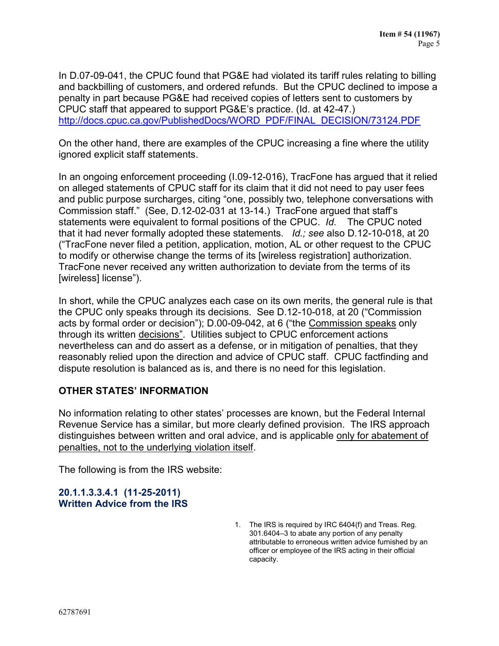In D.07-09-041, the CPUC found that PG&E had violated its tariff rules relating to billing and backbilling of customers, and ordered refunds. But the CPUC declined to impose a penalty in part because PG&E had received copies of letters sent to customers by CPUC staff that appeared to support PG&E's practice. (Id. at 42-47.) [http://docs.cpuc.ca.gov/PublishedDocs/WORD\\_PDF/FINAL\\_DECISION/73124.PDF](http://docs.cpuc.ca.gov/PublishedDocs/WORD_PDF/FINAL_DECISION/73124.PDF)

On the other hand, there are examples of the CPUC increasing a fine where the utility ignored explicit staff statements.

In an ongoing enforcement proceeding (I.09-12-016), TracFone has argued that it relied on alleged statements of CPUC staff for its claim that it did not need to pay user fees and public purpose surcharges, citing "one, possibly two, telephone conversations with Commission staff." (See, D.12-02-031 at 13-14.) TracFone argued that staff's statements were equivalent to formal positions of the CPUC. *Id.* The CPUC noted that it had never formally adopted these statements. *Id.; see* also D.12-10-018, at 20 ("TracFone never filed a petition, application, motion, AL or other request to the CPUC to modify or otherwise change the terms of its [wireless registration] authorization. TracFone never received any written authorization to deviate from the terms of its [wireless] license").

In short, while the CPUC analyzes each case on its own merits, the general rule is that the CPUC only speaks through its decisions. See D.12-10-018, at 20 ("Commission acts by formal order or decision"); D.00-09-042, at 6 ("the Commission speaks only through its written decisions". Utilities subject to CPUC enforcement actions nevertheless can and do assert as a defense, or in mitigation of penalties, that they reasonably relied upon the direction and advice of CPUC staff. CPUC factfinding and dispute resolution is balanced as is, and there is no need for this legislation.

## **OTHER STATES' INFORMATION**

No information relating to other states' processes are known, but the Federal Internal Revenue Service has a similar, but more clearly defined provision. The IRS approach distinguishes between written and oral advice, and is applicable only for abatement of penalties, not to the underlying violation itself.

The following is from the IRS website:

## **20.1.1.3.3.4.1 (11-25-2011) Written Advice from the IRS**

1. The IRS is required by IRC 6404(f) and Treas. Reg. 301.6404–3 to abate any portion of any penalty attributable to erroneous written advice furnished by an officer or employee of the IRS acting in their official capacity.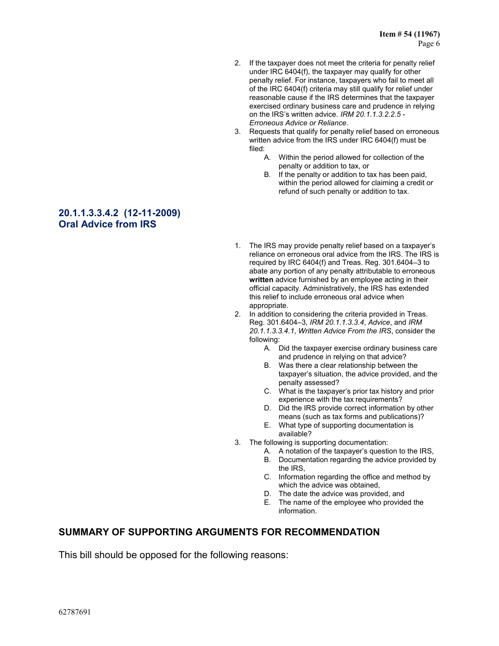- 2. If the taxpayer does not meet the criteria for penalty relief under IRC 6404(f), the taxpayer may qualify for other penalty relief. For instance, taxpayers who fail to meet all of the IRC 6404(f) criteria may still qualify for relief under reasonable cause if the IRS determines that the taxpayer exercised ordinary business care and prudence in relying on the IRS's written advice. *IRM 20.1.1.3.2.2.5* - *Erroneous Advice or Reliance*.
- 3. Requests that qualify for penalty relief based on erroneous written advice from the IRS under IRC 6404(f) must be filed:
	- A. Within the period allowed for collection of the penalty or addition to tax, or
	- B. If the penalty or addition to tax has been paid, within the period allowed for claiming a credit or refund of such penalty or addition to tax.

### **20.1.1.3.3.4.2 (12-11-2009) Oral Advice from IRS**

- 1. The IRS may provide penalty relief based on a taxpayer's reliance on erroneous oral advice from the IRS. The IRS is required by IRC 6404(f) and Treas. Reg. 301.6404–3 to abate any portion of any penalty attributable to erroneous **written** advice furnished by an employee acting in their official capacity. Administratively, the IRS has extended this relief to include erroneous oral advice when appropriate.
- 2. In addition to considering the criteria provided in Treas. Reg. 301.6404–3, *IRM 20.1.1.3.3.4*, *Advice*, and *IRM 20.1.1.3.3.4.1*, *Written Advice From the IRS*, consider the following:
	- A. Did the taxpayer exercise ordinary business care and prudence in relying on that advice?
	- B. Was there a clear relationship between the taxpayer's situation, the advice provided, and the penalty assessed?
	- C. What is the taxpayer's prior tax history and prior experience with the tax requirements?
	- D. Did the IRS provide correct information by other means (such as tax forms and publications)?
	- E. What type of supporting documentation is available?
- 3. The following is supporting documentation:
	- A. A notation of the taxpayer's question to the IRS,
	- B. Documentation regarding the advice provided by the IRS,
	- C. Information regarding the office and method by which the advice was obtained,
	- D. The date the advice was provided, and
	- E. The name of the employee who provided the information.

# **SUMMARY OF SUPPORTING ARGUMENTS FOR RECOMMENDATION**

This bill should be opposed for the following reasons: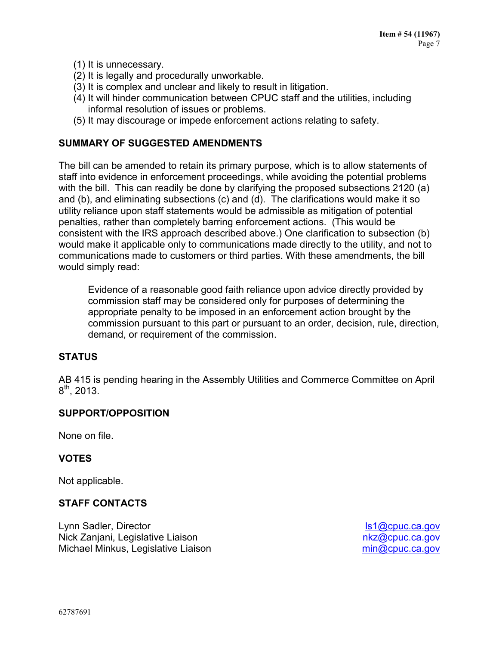- (1) It is unnecessary.
- (2) It is legally and procedurally unworkable.
- (3) It is complex and unclear and likely to result in litigation.
- (4) It will hinder communication between CPUC staff and the utilities, including informal resolution of issues or problems.
- (5) It may discourage or impede enforcement actions relating to safety.

### **SUMMARY OF SUGGESTED AMENDMENTS**

The bill can be amended to retain its primary purpose, which is to allow statements of staff into evidence in enforcement proceedings, while avoiding the potential problems with the bill. This can readily be done by clarifying the proposed subsections 2120 (a) and (b), and eliminating subsections (c) and (d). The clarifications would make it so utility reliance upon staff statements would be admissible as mitigation of potential penalties, rather than completely barring enforcement actions. (This would be consistent with the IRS approach described above.) One clarification to subsection (b) would make it applicable only to communications made directly to the utility, and not to communications made to customers or third parties. With these amendments, the bill would simply read:

Evidence of a reasonable good faith reliance upon advice directly provided by commission staff may be considered only for purposes of determining the appropriate penalty to be imposed in an enforcement action brought by the commission pursuant to this part or pursuant to an order, decision, rule, direction, demand, or requirement of the commission.

### **STATUS**

AB 415 is pending hearing in the Assembly Utilities and Commerce Committee on April  $8^{\text{th}}$ , 2013.

### **SUPPORT/OPPOSITION**

None on file.

### **VOTES**

Not applicable.

### **STAFF CONTACTS**

Lynn Sadler, Director Nick Zanjani, Legislative Liaison Michael Minkus, Legislative Liaison

[ls1@cpuc.ca.gov](mailto:ls1@cpuc.ca.gov) [nkz@cpuc.ca.gov](mailto:nkz@cpuc.ca.gov) [min@cpuc.ca.gov](mailto:min@cpuc.ca.gov)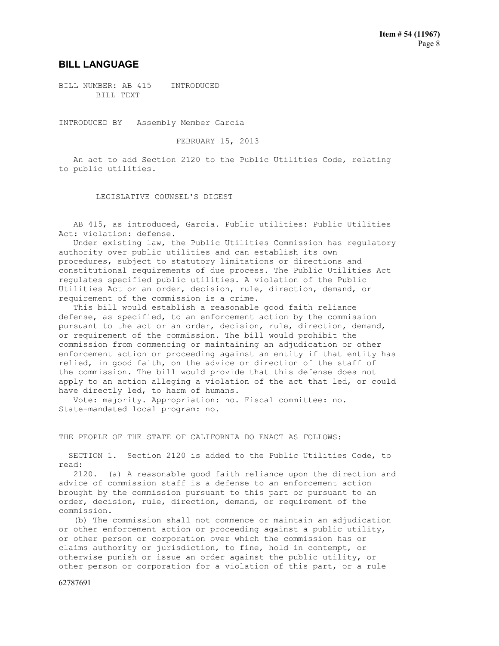#### **BILL LANGUAGE**

BILL NUMBER: AB 415 INTRODUCED BILL TEXT

INTRODUCED BY Assembly Member Garcia

FEBRUARY 15, 2013

 An act to add Section 2120 to the Public Utilities Code, relating to public utilities.

LEGISLATIVE COUNSEL'S DIGEST

 AB 415, as introduced, Garcia. Public utilities: Public Utilities Act: violation: defense.

 Under existing law, the Public Utilities Commission has regulatory authority over public utilities and can establish its own procedures, subject to statutory limitations or directions and constitutional requirements of due process. The Public Utilities Act regulates specified public utilities. A violation of the Public Utilities Act or an order, decision, rule, direction, demand, or requirement of the commission is a crime.

 This bill would establish a reasonable good faith reliance defense, as specified, to an enforcement action by the commission pursuant to the act or an order, decision, rule, direction, demand, or requirement of the commission. The bill would prohibit the commission from commencing or maintaining an adjudication or other enforcement action or proceeding against an entity if that entity has relied, in good faith, on the advice or direction of the staff of the commission. The bill would provide that this defense does not apply to an action alleging a violation of the act that led, or could have directly led, to harm of humans.

 Vote: majority. Appropriation: no. Fiscal committee: no. State-mandated local program: no.

THE PEOPLE OF THE STATE OF CALIFORNIA DO ENACT AS FOLLOWS:

 SECTION 1. Section 2120 is added to the Public Utilities Code, to read:

 2120. (a) A reasonable good faith reliance upon the direction and advice of commission staff is a defense to an enforcement action brought by the commission pursuant to this part or pursuant to an order, decision, rule, direction, demand, or requirement of the commission.

 (b) The commission shall not commence or maintain an adjudication or other enforcement action or proceeding against a public utility, or other person or corporation over which the commission has or claims authority or jurisdiction, to fine, hold in contempt, or otherwise punish or issue an order against the public utility, or other person or corporation for a violation of this part, or a rule

62787691